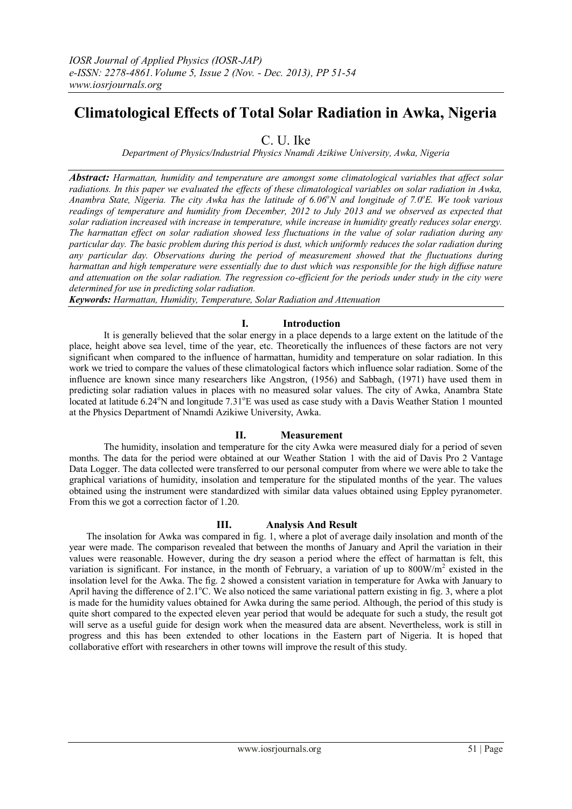# **Climatological Effects of Total Solar Radiation in Awka, Nigeria**

C. U. Ike

*Department of Physics/Industrial Physics Nnamdi Azikiwe University, Awka, Nigeria*

*Abstract: Harmattan, humidity and temperature are amongst some climatological variables that affect solar radiations. In this paper we evaluated the effects of these climatological variables on solar radiation in Awka, Anambra State, Nigeria. The city Awka has the latitude of 6.06<sup>o</sup>N and longitude of 7.0 <sup>o</sup>E. We took various readings of temperature and humidity from December, 2012 to July 2013 and we observed as expected that solar radiation increased with increase in temperature, while increase in humidity greatly reduces solar energy. The harmattan effect on solar radiation showed less fluctuations in the value of solar radiation during any particular day. The basic problem during this period is dust, which uniformly reduces the solar radiation during any particular day. Observations during the period of measurement showed that the fluctuations during harmattan and high temperature were essentially due to dust which was responsible for the high diffuse nature and attenuation on the solar radiation. The regression co-efficient for the periods under study in the city were determined for use in predicting solar radiation.*

*Keywords: Harmattan, Humidity, Temperature, Solar Radiation and Attenuation*

## **I. Introduction**

It is generally believed that the solar energy in a place depends to a large extent on the latitude of the place, height above sea level, time of the year, etc. Theoretically the influences of these factors are not very significant when compared to the influence of harmattan, humidity and temperature on solar radiation. In this work we tried to compare the values of these climatological factors which influence solar radiation. Some of the influence are known since many researchers like Angstron, (1956) and Sabbagh, (1971) have used them in predicting solar radiation values in places with no measured solar values. The city of Awka, Anambra State located at latitude  $6.24^{\circ}$ N and longitude  $7.31^{\circ}$ E was used as case study with a Davis Weather Station 1 mounted at the Physics Department of Nnamdi Azikiwe University, Awka.

### **II. Measurement**

The humidity, insolation and temperature for the city Awka were measured dialy for a period of seven months. The data for the period were obtained at our Weather Station 1 with the aid of Davis Pro 2 Vantage Data Logger. The data collected were transferred to our personal computer from where we were able to take the graphical variations of humidity, insolation and temperature for the stipulated months of the year. The values obtained using the instrument were standardized with similar data values obtained using Eppley pyranometer. From this we got a correction factor of 1.20.

### **III. Analysis And Result**

The insolation for Awka was compared in fig. 1, where a plot of average daily insolation and month of the year were made. The comparison revealed that between the months of January and April the variation in their values were reasonable. However, during the dry season a period where the effect of harmattan is felt, this variation is significant. For instance, in the month of February, a variation of up to  $800$ W/m<sup>2</sup> existed in the insolation level for the Awka. The fig. 2 showed a consistent variation in temperature for Awka with January to April having the difference of  $2.1^{\circ}$ C. We also noticed the same variational pattern existing in fig. 3, where a plot is made for the humidity values obtained for Awka during the same period. Although, the period of this study is quite short compared to the expected eleven year period that would be adequate for such a study, the result got will serve as a useful guide for design work when the measured data are absent. Nevertheless, work is still in progress and this has been extended to other locations in the Eastern part of Nigeria. It is hoped that collaborative effort with researchers in other towns will improve the result of this study.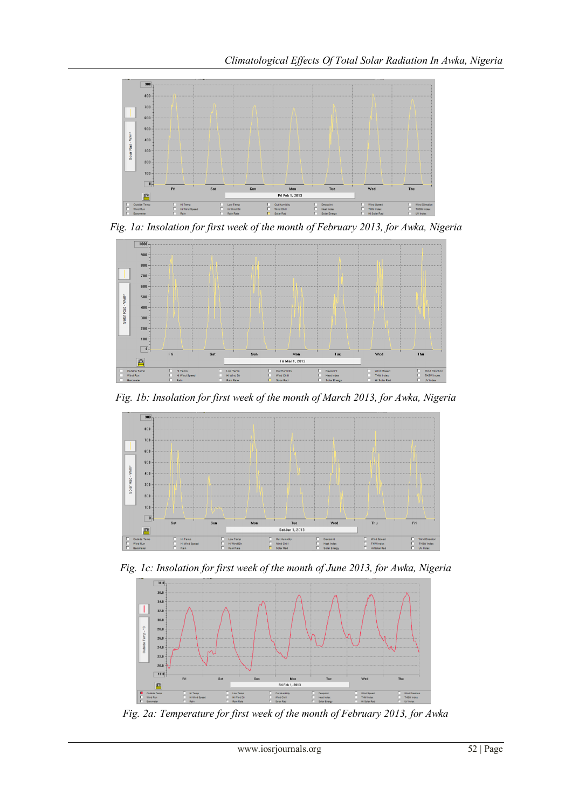

*Fig. 1a: Insolation for first week of the month of February 2013, for Awka, Nigeria*



*Fig. 1b: Insolation for first week of the month of March 2013, for Awka, Nigeria*



*Fig. 1c: Insolation for first week of the month of June 2013, for Awka, Nigeria*



*Fig. 2a: Temperature for first week of the month of February 2013, for Awka*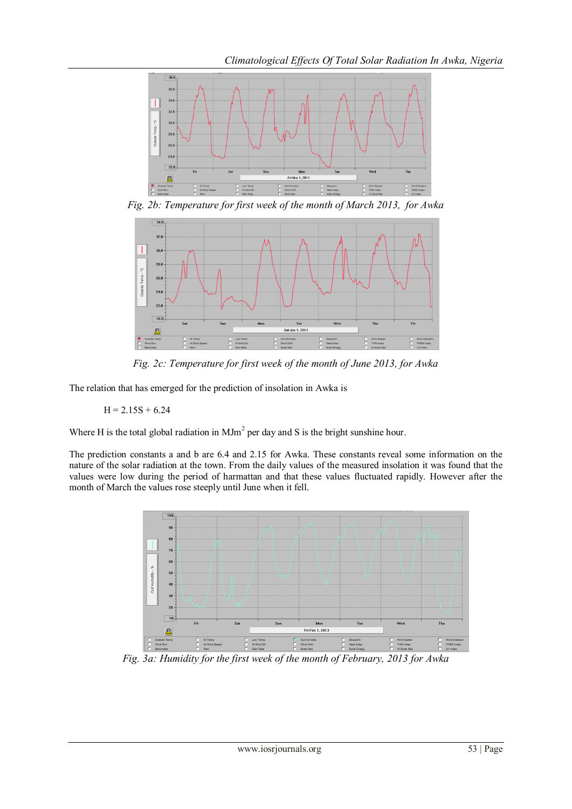

*Fig. 2b: Temperature for first week of the month of March 2013, for Awka*



*Fig. 2c: Temperature for first week of the month of June 2013, for Awka*

The relation that has emerged for the prediction of insolation in Awka is

 $H = 2.15S + 6.24$ 

Where H is the total global radiation in  $M J m<sup>2</sup>$  per day and S is the bright sunshine hour.

The prediction constants a and b are 6.4 and 2.15 for Awka. These constants reveal some information on the nature of the solar radiation at the town. From the daily values of the measured insolation it was found that the values were low during the period of harmattan and that these values fluctuated rapidly. However after the month of March the values rose steeply until June when it fell.



*Fig. 3a: Humidity for the first week of the month of February, 2013 for Awka*